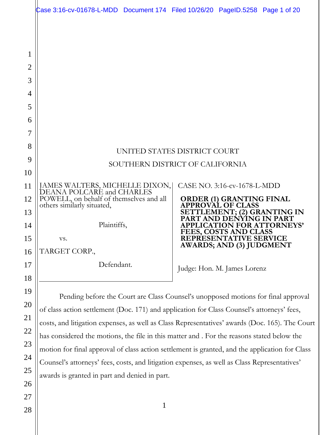|                                              | Case 3:16-cv-01678-L-MDD Document 174 Filed 10/26/20 PageID.5258 Page 1 of 20                                                                                                                                                                                                                                                                                                                                                                                                                                                                                                                                                      |  |                                                        |                                                                  |
|----------------------------------------------|------------------------------------------------------------------------------------------------------------------------------------------------------------------------------------------------------------------------------------------------------------------------------------------------------------------------------------------------------------------------------------------------------------------------------------------------------------------------------------------------------------------------------------------------------------------------------------------------------------------------------------|--|--------------------------------------------------------|------------------------------------------------------------------|
| 1<br>$\overline{2}$                          |                                                                                                                                                                                                                                                                                                                                                                                                                                                                                                                                                                                                                                    |  |                                                        |                                                                  |
| 3                                            |                                                                                                                                                                                                                                                                                                                                                                                                                                                                                                                                                                                                                                    |  |                                                        |                                                                  |
| 4                                            |                                                                                                                                                                                                                                                                                                                                                                                                                                                                                                                                                                                                                                    |  |                                                        |                                                                  |
| 5                                            |                                                                                                                                                                                                                                                                                                                                                                                                                                                                                                                                                                                                                                    |  |                                                        |                                                                  |
| 6                                            |                                                                                                                                                                                                                                                                                                                                                                                                                                                                                                                                                                                                                                    |  |                                                        |                                                                  |
| 7                                            |                                                                                                                                                                                                                                                                                                                                                                                                                                                                                                                                                                                                                                    |  |                                                        |                                                                  |
| 8                                            | UNITED STATES DISTRICT COURT                                                                                                                                                                                                                                                                                                                                                                                                                                                                                                                                                                                                       |  |                                                        |                                                                  |
| 9                                            | SOUTHERN DISTRICT OF CALIFORNIA                                                                                                                                                                                                                                                                                                                                                                                                                                                                                                                                                                                                    |  |                                                        |                                                                  |
| 10                                           |                                                                                                                                                                                                                                                                                                                                                                                                                                                                                                                                                                                                                                    |  |                                                        |                                                                  |
| 11                                           | JAMES WALTERS, MICHELLE DIXON,<br>DEANA POLCARÉ and CHARLES                                                                                                                                                                                                                                                                                                                                                                                                                                                                                                                                                                        |  | CASE NO. 3:16-cv-1678-L-MDD                            |                                                                  |
| 12                                           | POWELL, on behalf of themselves and all<br>others similarly situated,                                                                                                                                                                                                                                                                                                                                                                                                                                                                                                                                                              |  | <b>ORDER (1) GRANTING FINAL</b><br>APPROVAL OF CLASS   |                                                                  |
| 13<br>14                                     | Plaintiffs,                                                                                                                                                                                                                                                                                                                                                                                                                                                                                                                                                                                                                        |  | T AND DENYING IN PART                                  | SETTLEMENT; (2) GRANTING IN<br><b>APPLICATION FOR ATTORNEYS'</b> |
| 15                                           | VS.                                                                                                                                                                                                                                                                                                                                                                                                                                                                                                                                                                                                                                |  | <b>FEES, COSTS AND CLASS</b><br>REPRESENTATIVE SERVICE |                                                                  |
| 16                                           | TARGET CORP.,                                                                                                                                                                                                                                                                                                                                                                                                                                                                                                                                                                                                                      |  | <b>AWARDS; AND (3) JUDGMENT</b>                        |                                                                  |
| 17                                           | Defendant.                                                                                                                                                                                                                                                                                                                                                                                                                                                                                                                                                                                                                         |  | Judge: Hon. M. James Lorenz                            |                                                                  |
| 18                                           |                                                                                                                                                                                                                                                                                                                                                                                                                                                                                                                                                                                                                                    |  |                                                        |                                                                  |
| 19<br>20<br>21<br>22<br>23<br>24<br>25<br>26 | Pending before the Court are Class Counsel's unopposed motions for final approval<br>of class action settlement (Doc. 171) and application for Class Counsel's attorneys' fees,<br>costs, and litigation expenses, as well as Class Representatives' awards (Doc. 165). The Court<br>has considered the motions, the file in this matter and . For the reasons stated below the<br>motion for final approval of class action settlement is granted, and the application for Class<br>Counsel's attorneys' fees, costs, and litigation expenses, as well as Class Representatives'<br>awards is granted in part and denied in part. |  |                                                        |                                                                  |
| 27                                           |                                                                                                                                                                                                                                                                                                                                                                                                                                                                                                                                                                                                                                    |  |                                                        |                                                                  |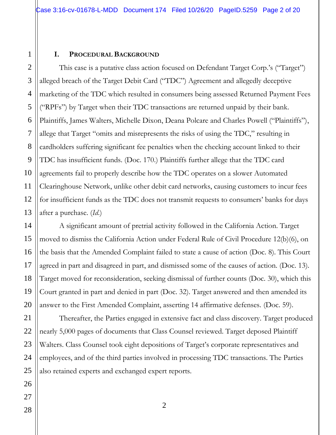#### **I. PROCEDURAL BACKGROUND**

This case is a putative class action focused on Defendant Target Corp.'s ("Target") alleged breach of the Target Debit Card ("TDC") Agreement and allegedly deceptive marketing of the TDC which resulted in consumers being assessed Returned Payment Fees ("RPFs") by Target when their TDC transactions are returned unpaid by their bank. Plaintiffs, James Walters, Michelle Dixon, Deana Polcare and Charles Powell ("Plaintiffs"), allege that Target "omits and misrepresents the risks of using the TDC," resulting in cardholders suffering significant fee penalties when the checking account linked to their TDC has insufficient funds. (Doc. 170.) Plaintiffs further allege that the TDC card agreements fail to properly describe how the TDC operates on a slower Automated Clearinghouse Network, unlike other debit card networks, causing customers to incur fees for insufficient funds as the TDC does not transmit requests to consumers' banks for days after a purchase. (*Id*.)

A significant amount of pretrial activity followed in the California Action. Target moved to dismiss the California Action under Federal Rule of Civil Procedure 12(b)(6), on the basis that the Amended Complaint failed to state a cause of action (Doc. 8). This Court agreed in part and disagreed in part, and dismissed some of the causes of action. (Doc. 13). Target moved for reconsideration, seeking dismissal of further counts (Doc. 30), which this Court granted in part and denied in part (Doc. 32). Target answered and then amended its answer to the First Amended Complaint, asserting 14 affirmative defenses. (Doc. 59).

Thereafter, the Parties engaged in extensive fact and class discovery. Target produced nearly 5,000 pages of documents that Class Counsel reviewed. Target deposed Plaintiff Walters. Class Counsel took eight depositions of Target's corporate representatives and employees, and of the third parties involved in processing TDC transactions. The Parties also retained experts and exchanged expert reports.

1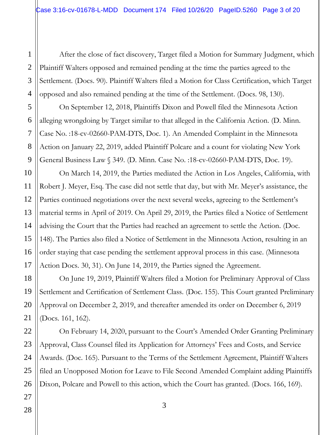1 After the close of fact discovery, Target filed a Motion for Summary Judgment, which Plaintiff Walters opposed and remained pending at the time the parties agreed to the Settlement. (Docs. 90). Plaintiff Walters filed a Motion for Class Certification, which Target opposed and also remained pending at the time of the Settlement. (Docs. 98, 130).

On September 12, 2018, Plaintiffs Dixon and Powell filed the Minnesota Action alleging wrongdoing by Target similar to that alleged in the California Action. (D. Minn. Case No. :18-cv-02660-PAM-DTS, Doc. 1). An Amended Complaint in the Minnesota Action on January 22, 2019, added Plaintiff Polcare and a count for violating New York General Business Law § 349. (D. Minn. Case No. :18-cv-02660-PAM-DTS, Doc. 19).

On March 14, 2019, the Parties mediated the Action in Los Angeles, California, with Robert J. Meyer, Esq. The case did not settle that day, but with Mr. Meyer's assistance, the Parties continued negotiations over the next several weeks, agreeing to the Settlement's material terms in April of 2019. On April 29, 2019, the Parties filed a Notice of Settlement advising the Court that the Parties had reached an agreement to settle the Action. (Doc. 148). The Parties also filed a Notice of Settlement in the Minnesota Action, resulting in an order staying that case pending the settlement approval process in this case. (Minnesota Action Docs. 30, 31). On June 14, 2019, the Parties signed the Agreement.

On June 19, 2019, Plaintiff Walters filed a Motion for Preliminary Approval of Class Settlement and Certification of Settlement Class. (Doc. 155). This Court granted Preliminary Approval on December 2, 2019, and thereafter amended its order on December 6, 2019 (Docs. 161, 162).

On February 14, 2020, pursuant to the Court's Amended Order Granting Preliminary Approval, Class Counsel filed its Application for Attorneys' Fees and Costs, and Service Awards. (Doc. 165). Pursuant to the Terms of the Settlement Agreement, Plaintiff Walters filed an Unopposed Motion for Leave to File Second Amended Complaint adding Plaintiffs Dixon, Polcare and Powell to this action, which the Court has granted. (Docs. 166, 169).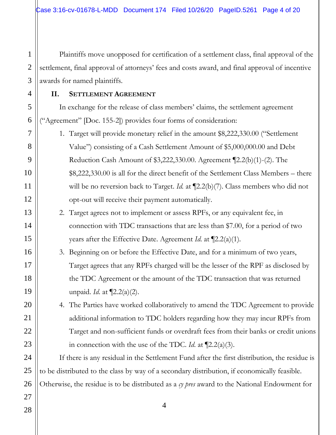Plaintiffs move unopposed for certification of a settlement class, final approval of the settlement, final approval of attorneys' fees and costs award, and final approval of incentive awards for named plaintiffs.

#### **II. SETTLEMENT AGREEMENT**

In exchange for the release of class members' claims, the settlement agreement ("Agreement" [Doc. 155-2]) provides four forms of consideration:

- 1. Target will provide monetary relief in the amount \$8,222,330.00 ("Settlement Value") consisting of a Cash Settlement Amount of \$5,000,000.00 and Debt Reduction Cash Amount of \$3,222,330.00. Agreement ¶2.2(b)(1)-(2). The \$8,222,330.00 is all for the direct benefit of the Settlement Class Members – there will be no reversion back to Target. *Id.* at  $[2.2(b)(7)$ . Class members who did not opt-out will receive their payment automatically.
	- 2. Target agrees not to implement or assess RPFs, or any equivalent fee, in connection with TDC transactions that are less than \$7.00, for a period of two years after the Effective Date. Agreement *Id*. at ¶2.2(a)(1).
	- 3. Beginning on or before the Effective Date, and for a minimum of two years, Target agrees that any RPFs charged will be the lesser of the RPF as disclosed by the TDC Agreement or the amount of the TDC transaction that was returned unpaid. *Id*. at ¶2.2(a)(2).
	- 4. The Parties have worked collaboratively to amend the TDC Agreement to provide additional information to TDC holders regarding how they may incur RPFs from Target and non-sufficient funds or overdraft fees from their banks or credit unions in connection with the use of the TDC. *Id*. at ¶2.2(a)(3).

If there is any residual in the Settlement Fund after the first distribution, the residue is to be distributed to the class by way of a secondary distribution, if economically feasible. Otherwise, the residue is to be distributed as a *cy pres* award to the National Endowment for

4

27 28

1

2

3

4

5

6

7

8

9

10

11

12

13

14

15

16

17

18

19

20

21

22

23

24

25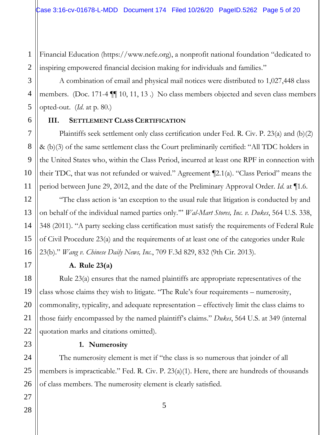1 2 Financial Education (https://www.nefe.org), a nonprofit national foundation "dedicated to inspiring empowered financial decision making for individuals and families."

A combination of email and physical mail notices were distributed to 1,027,448 class members. (Doc. 171-4 ¶¶ 10, 11, 13 .) No class members objected and seven class members opted-out. (*Id*. at p. 80.)

#### **III. SETTLEMENT CLASS CERTIFICATION**

Plaintiffs seek settlement only class certification under Fed. R. Civ. P. 23(a) and (b)(2) & (b)(3) of the same settlement class the Court preliminarily certified: "All TDC holders in the United States who, within the Class Period, incurred at least one RPF in connection with their TDC, that was not refunded or waived." Agreement ¶2.1(a). "Class Period" means the period between June 29, 2012, and the date of the Preliminary Approval Order. *Id*. at ¶1.6.

"The class action is 'an exception to the usual rule that litigation is conducted by and on behalf of the individual named parties only.'" *Wal-Mart Stores, Inc. v. Dukes*, 564 U.S. 338, 348 (2011). "A party seeking class certification must satisfy the requirements of Federal Rule of Civil Procedure 23(a) and the requirements of at least one of the categories under Rule 23(b)." *Wang v. Chinese Daily News, Inc.*, 709 F.3d 829, 832 (9th Cir. 2013).

# **A. Rule 23(a)**

Rule 23(a) ensures that the named plaintiffs are appropriate representatives of the class whose claims they wish to litigate. "The Rule's four requirements – numerosity, commonality, typicality, and adequate representation – effectively limit the class claims to those fairly encompassed by the named plaintiff's claims." *Dukes*, 564 U.S. at 349 (internal quotation marks and citations omitted).

# **1. Numerosity**

The numerosity element is met if "the class is so numerous that joinder of all members is impracticable." Fed. R. Civ. P. 23(a)(1). Here, there are hundreds of thousands of class members. The numerosity element is clearly satisfied.

5

3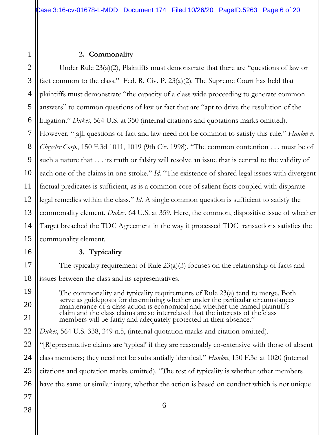#### **2. Commonality**

2 3 4 5 6 7 8 Under Rule 23(a)(2), Plaintiffs must demonstrate that there are "questions of law or fact common to the class." Fed. R. Civ. P. 23(a)(2). The Supreme Court has held that plaintiffs must demonstrate "the capacity of a class wide proceeding to generate common answers" to common questions of law or fact that are "apt to drive the resolution of the litigation." *Dukes*, 564 U.S. at 350 (internal citations and quotations marks omitted). However, "[a]ll questions of fact and law need not be common to satisfy this rule." *Hanlon v. Chrysler Corp.*, 150 F.3d 1011, 1019 (9th Cir. 1998). "The common contention . . . must be of such a nature that . . . its truth or falsity will resolve an issue that is central to the validity of each one of the claims in one stroke." *Id.* "The existence of shared legal issues with divergent factual predicates is sufficient, as is a common core of salient facts coupled with disparate legal remedies within the class." *Id*. A single common question is sufficient to satisfy the commonality element. *Dukes*, 64 U.S. at 359. Here, the common, dispositive issue of whether Target breached the TDC Agreement in the way it processed TDC transactions satisfies the commonality element.

#### **3. Typicality**

The typicality requirement of Rule 23(a)(3) focuses on the relationship of facts and issues between the class and its representatives.

The commonality and typicality requirements of Rule 23(a) tend to merge. Both serve as guideposts for determining whether under the particular circumstances maintenance of a class action is economical and whether the named plaintiff's claim and the class claims are so interrelated that the interests of the class members will be fairly and adequately protected in their absence."

*Dukes*, 564 U.S. 338, 349 n.5, (internal quotation marks and citation omitted).

"[R]epresentative claims are 'typical' if they are reasonably co-extensive with those of absent class members; they need not be substantially identical." *Hanlon*, 150 F.3d at 1020 (internal citations and quotation marks omitted). "The test of typicality is whether other members have the same or similar injury, whether the action is based on conduct which is not unique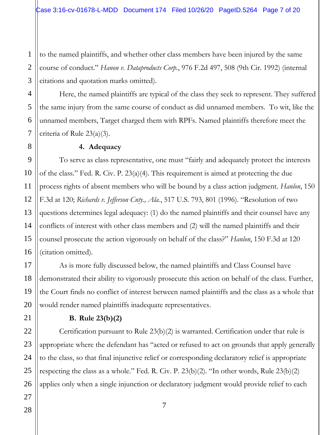to the named plaintiffs, and whether other class members have been injured by the same course of conduct." *Hanon v. Dataproducts Corp.*, 976 F.2d 497, 508 (9th Cir. 1992) (internal citations and quotation marks omitted).

Here, the named plaintiffs are typical of the class they seek to represent. They suffered the same injury from the same course of conduct as did unnamed members. To wit, like the unnamed members, Target charged them with RPFs. Named plaintiffs therefore meet the criteria of Rule 23(a)(3).

#### **4. Adequacy**

To serve as class representative, one must "fairly and adequately protect the interests of the class." Fed. R. Civ. P. 23(a)(4). This requirement is aimed at protecting the due process rights of absent members who will be bound by a class action judgment. *Hanlon*, 150 F.3d at 120; *Richards v. Jefferson Cnty., Ala.*, 517 U.S. 793, 801 (1996). "Resolution of two questions determines legal adequacy: (1) do the named plaintiffs and their counsel have any conflicts of interest with other class members and (2) will the named plaintiffs and their counsel prosecute the action vigorously on behalf of the class?" *Hanlon*, 150 F.3d at 120 (citation omitted).

As is more fully discussed below, the named plaintiffs and Class Counsel have demonstrated their ability to vigorously prosecute this action on behalf of the class. Further, the Court finds no conflict of interest between named plaintiffs and the class as a whole that would render named plaintiffs inadequate representatives.

#### **B. Rule 23(b)(2)**

Certification pursuant to Rule 23(b)(2) is warranted. Certification under that rule is appropriate where the defendant has "acted or refused to act on grounds that apply generally to the class, so that final injunctive relief or corresponding declaratory relief is appropriate respecting the class as a whole." Fed. R. Civ. P. 23(b)(2). "In other words, Rule 23(b)(2) applies only when a single injunction or declaratory judgment would provide relief to each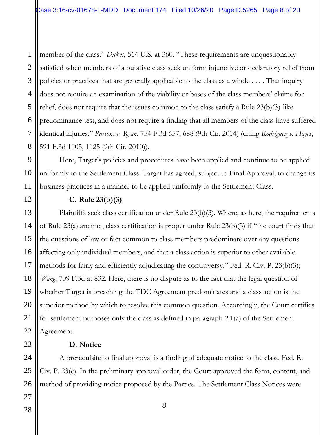1 2 3 4 5 6 7 8 member of the class." *Dukes*, 564 U.S. at 360. "These requirements are unquestionably satisfied when members of a putative class seek uniform injunctive or declaratory relief from policies or practices that are generally applicable to the class as a whole . . . . That inquiry does not require an examination of the viability or bases of the class members' claims for relief, does not require that the issues common to the class satisfy a Rule 23(b)(3)-like predominance test, and does not require a finding that all members of the class have suffered identical injuries." *Parsons v. Ryan*, 754 F.3d 657, 688 (9th Cir. 2014) (citing *Rodriguez v. Hayes*, 591 F.3d 1105, 1125 (9th Cir. 2010)).

Here, Target's policies and procedures have been applied and continue to be applied uniformly to the Settlement Class. Target has agreed, subject to Final Approval, to change its business practices in a manner to be applied uniformly to the Settlement Class.

# **C. Rule 23(b)(3)**

Plaintiffs seek class certification under Rule 23(b)(3). Where, as here, the requirements of Rule 23(a) are met, class certification is proper under Rule 23(b)(3) if "the court finds that the questions of law or fact common to class members predominate over any questions affecting only individual members, and that a class action is superior to other available methods for fairly and efficiently adjudicating the controversy." Fed. R. Civ. P. 23(b)(3); *Wang*, 709 F.3d at 832. Here, there is no dispute as to the fact that the legal question of whether Target is breaching the TDC Agreement predominates and a class action is the superior method by which to resolve this common question. Accordingly, the Court certifies for settlement purposes only the class as defined in paragraph 2.1(a) of the Settlement Agreement.

# **D. Notice**

A prerequisite to final approval is a finding of adequate notice to the class. Fed. R. Civ. P. 23(e). In the preliminary approval order, the Court approved the form, content, and method of providing notice proposed by the Parties. The Settlement Class Notices were

8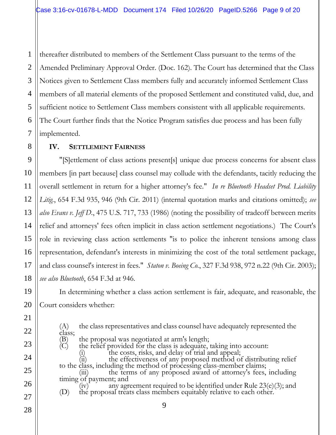1 thereafter distributed to members of the Settlement Class pursuant to the terms of the Amended Preliminary Approval Order. (Doc. 162). The Court has determined that the Class Notices given to Settlement Class members fully and accurately informed Settlement Class members of all material elements of the proposed Settlement and constituted valid, due, and sufficient notice to Settlement Class members consistent with all applicable requirements. The Court further finds that the Notice Program satisfies due process and has been fully implemented.

### **IV. SETTLEMENT FAIRNESS**

"[S]ettlement of class actions present[s] unique due process concerns for absent class members [in part because] class counsel may collude with the defendants, tacitly reducing the overall settlement in return for a higher attorney's fee." *In re Bluetooth Headset Prod. Liability Litig.*, 654 F.3d 935, 946 (9th Cir. 2011) (internal quotation marks and citations omitted); *see also Evans v. Jeff D.*, 475 U.S. 717, 733 (1986) (noting the possibility of tradeoff between merits relief and attorneys' fees often implicit in class action settlement negotiations.) The Court's role in reviewing class action settlements "is to police the inherent tensions among class representation, defendant's interests in minimizing the cost of the total settlement package, and class counsel's interest in fees." *Staton v. Boeing Co.*, 327 F.3d 938, 972 n.22 (9th Cir. 2003); *see also Bluetooth*, 654 F.3d at 946.

In determining whether a class action settlement is fair, adequate, and reasonable, the Court considers whether:

9 (A) the class representatives and class counsel have adequately represented the class;<br>(B)<br>(C) the proposal was negotiated at arm's length; the relief provided for the class is adequate, taking into account: the costs, risks, and delay of trial and appeal; (ii) the effectiveness of any proposed method of distributing relief to the class, including the method of processing class-member claims; the terms of any proposed award of attorney's fees, including timing of payment; and any agreement required to be identified under Rule  $23(e)(3)$ ; and (D) the proposal treats class members equitably relative to each other.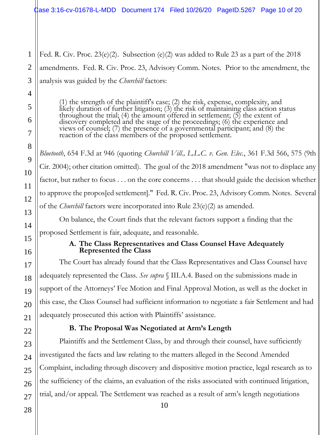Case 3:16-cv-01678-L-MDD Document 174 Filed 10/26/20 PageID.5267 Page 10 of 20

Fed. R. Civ. Proc. 23(e)(2). Subsection (e)(2) was added to Rule 23 as a part of the 2018 amendments. Fed. R. Civ. Proc. 23, Advisory Comm. Notes. Prior to the amendment, the analysis was guided by the *Churchill* factors:

(1) the strength of the plaintiff's case; (2) the risk, expense, complexity, and likely duration of further litigation; (3) the risk of maintaining class action status throughout the trial; (4) the amount offered in settlement; (5) the extent of discovery completed and the stage of the proceedings; (6) the experience and views of counsel; (7) the presence of a governmental participant; and (8) the reaction of the class members of the proposed settlement.

*Bluetooth*, 654 F.3d at 946 (quoting *Churchill Vill., L.L.C. v. Gen. Elec.*, 361 F.3d 566, 575 (9th Cir. 2004); other citation omitted). The goal of the 2018 amendment "was not to displace any factor, but rather to focus . . . on the core concerns . . . that should guide the decision whether to approve the propos[ed settlement]." Fed. R. Civ. Proc. 23, Advisory Comm. Notes. Several of the *Churchill* factors were incorporated into Rule 23(e)(2) as amended.

On balance, the Court finds that the relevant factors support a finding that the proposed Settlement is fair, adequate, and reasonable.

#### **A. The Class Representatives and Class Counsel Have Adequately Represented the Class**

The Court has already found that the Class Representatives and Class Counsel have adequately represented the Class. *See supra* § III.A.4. Based on the submissions made in support of the Attorneys' Fee Motion and Final Approval Motion, as well as the docket in this case, the Class Counsel had sufficient information to negotiate a fair Settlement and had adequately prosecuted this action with Plaintiffs' assistance.

# **B. The Proposal Was Negotiated at Arm's Length**

Plaintiffs and the Settlement Class, by and through their counsel, have sufficiently investigated the facts and law relating to the matters alleged in the Second Amended Complaint, including through discovery and dispositive motion practice, legal research as to the sufficiency of the claims, an evaluation of the risks associated with continued litigation, trial, and/or appeal. The Settlement was reached as a result of arm's length negotiations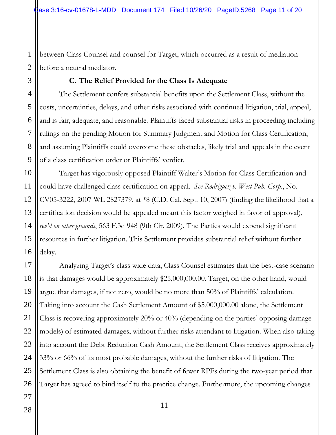between Class Counsel and counsel for Target, which occurred as a result of mediation before a neutral mediator.

#### **C. The Relief Provided for the Class Is Adequate**

The Settlement confers substantial benefits upon the Settlement Class, without the costs, uncertainties, delays, and other risks associated with continued litigation, trial, appeal, and is fair, adequate, and reasonable. Plaintiffs faced substantial risks in proceeding including rulings on the pending Motion for Summary Judgment and Motion for Class Certification, and assuming Plaintiffs could overcome these obstacles, likely trial and appeals in the event of a class certification order or Plaintiffs' verdict.

Target has vigorously opposed Plaintiff Walter's Motion for Class Certification and could have challenged class certification on appeal. *See Rodriguez v. West Pub. Corp.*, No. CV05-3222, 2007 WL 2827379, at \*8 (C.D. Cal. Sept. 10, 2007) (finding the likelihood that a certification decision would be appealed meant this factor weighed in favor of approval), *rev'd on other grounds*, 563 F.3d 948 (9th Cir. 2009). The Parties would expend significant resources in further litigation. This Settlement provides substantial relief without further delay.

Analyzing Target's class wide data, Class Counsel estimates that the best-case scenario is that damages would be approximately \$25,000,000.00. Target, on the other hand, would argue that damages, if not zero, would be no more than 50% of Plaintiffs' calculation. Taking into account the Cash Settlement Amount of \$5,000,000.00 alone, the Settlement Class is recovering approximately 20% or 40% (depending on the parties' opposing damage models) of estimated damages, without further risks attendant to litigation. When also taking into account the Debt Reduction Cash Amount, the Settlement Class receives approximately 33% or 66% of its most probable damages, without the further risks of litigation. The Settlement Class is also obtaining the benefit of fewer RPFs during the two-year period that Target has agreed to bind itself to the practice change. Furthermore, the upcoming changes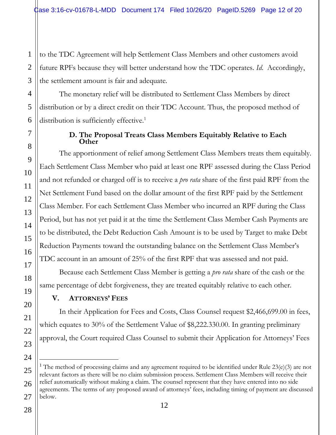to the TDC Agreement will help Settlement Class Members and other customers avoid future RPFs because they will better understand how the TDC operates. *Id*. Accordingly, the settlement amount is fair and adequate.

The monetary relief will be distributed to Settlement Class Members by direct distribution or by a direct credit on their TDC Account. Thus, the proposed method of distribution is sufficiently effective.<sup>1</sup>

#### **D. The Proposal Treats Class Members Equitably Relative to Each Other**

The apportionment of relief among Settlement Class Members treats them equitably. Each Settlement Class Member who paid at least one RPF assessed during the Class Period and not refunded or charged off is to receive a *pro rata* share of the first paid RPF from the Net Settlement Fund based on the dollar amount of the first RPF paid by the Settlement Class Member. For each Settlement Class Member who incurred an RPF during the Class Period, but has not yet paid it at the time the Settlement Class Member Cash Payments are to be distributed, the Debt Reduction Cash Amount is to be used by Target to make Debt Reduction Payments toward the outstanding balance on the Settlement Class Member's TDC account in an amount of 25% of the first RPF that was assessed and not paid.

Because each Settlement Class Member is getting a *pro rata* share of the cash or the same percentage of debt forgiveness, they are treated equitably relative to each other.

# **V. ATTORNEYS' FEES**

In their Application for Fees and Costs, Class Counsel request \$2,466,699.00 in fees, which equates to 30% of the Settlement Value of \$8,222.330.00. In granting preliminary approval, the Court required Class Counsel to submit their Application for Attorneys' Fees

l <sup>1</sup> The method of processing claims and any agreement required to be identified under Rule 23(e)(3) are not relevant factors as there will be no claim submission process. Settlement Class Members will receive their relief automatically without making a claim. The counsel represent that they have entered into no side agreements. The terms of any proposed award of attorneys' fees, including timing of payment are discussed below.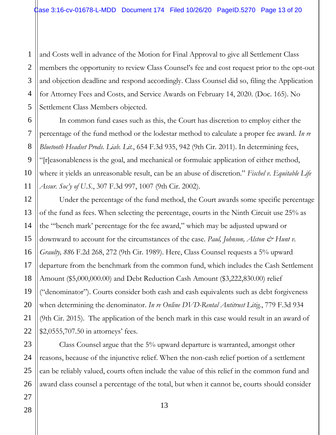1 2 and Costs well in advance of the Motion for Final Approval to give all Settlement Class members the opportunity to review Class Counsel's fee and cost request prior to the opt-out and objection deadline and respond accordingly. Class Counsel did so, filing the Application for Attorney Fees and Costs, and Service Awards on February 14, 2020. (Doc. 165). No Settlement Class Members objected.

In common fund cases such as this, the Court has discretion to employ either the percentage of the fund method or the lodestar method to calculate a proper fee award. *In re Bluetooth Headset Prods. Liab. Lit.*, 654 F.3d 935, 942 (9th Cir. 2011). In determining fees, "[r]easonableness is the goal, and mechanical or formulaic application of either method, where it yields an unreasonable result, can be an abuse of discretion." *Fischel v. Equitable Life Assur. Soc'y of U.S.*, 307 F.3d 997, 1007 (9th Cir. 2002).

Under the percentage of the fund method, the Court awards some specific percentage of the fund as fees. When selecting the percentage, courts in the Ninth Circuit use 25% as the "'bench mark' percentage for the fee award," which may be adjusted upward or downward to account for the circumstances of the case. *Paul, Johnson, Alston & Hunt v*. *Graulty, 88*6 F.2d 268, 272 (9th Cir. 1989). Here, Class Counsel requests a 5% upward departure from the benchmark from the common fund, which includes the Cash Settlement Amount (\$5,000,000.00) and Debt Reduction Cash Amount (\$3,222,830.00) relief ("denominator"). Courts consider both cash and cash equivalents such as debt forgiveness when determining the denominator. *In re Online DVD-Rental Antitrust Litig.*, 779 F.3d 934 (9th Cir. 2015). The application of the bench mark in this case would result in an award of \$2,0555,707.50 in attorneys' fees.

Class Counsel argue that the 5% upward departure is warranted, amongst other reasons, because of the injunctive relief. When the non-cash relief portion of a settlement can be reliably valued, courts often include the value of this relief in the common fund and award class counsel a percentage of the total, but when it cannot be, courts should consider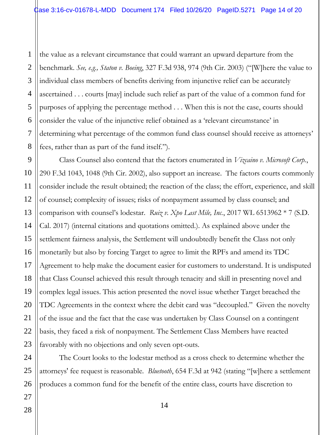1 2 3 4 5 6 7 8 the value as a relevant circumstance that could warrant an upward departure from the benchmark. *See, e.g., Staton v. Boeing*, 327 F.3d 938, 974 (9th Cir. 2003) ("[W]here the value to individual class members of benefits deriving from injunctive relief can be accurately ascertained . . . courts [may] include such relief as part of the value of a common fund for purposes of applying the percentage method . . . When this is not the case, courts should consider the value of the injunctive relief obtained as a 'relevant circumstance' in determining what percentage of the common fund class counsel should receive as attorneys' fees, rather than as part of the fund itself.").

9 10 11 12 13 14 15 16 17 Class Counsel also contend that the factors enumerated in *Vizcaino v. Microsoft Corp.*, 290 F.3d 1043, 1048 (9th Cir. 2002), also support an increase. The factors courts commonly consider include the result obtained; the reaction of the class; the effort, experience, and skill of counsel; complexity of issues; risks of nonpayment assumed by class counsel; and comparison with counsel's lodestar. *Ruiz v. Xpo Last Mile, Inc.*, 2017 WL 6513962 \* 7 (S.D. Cal. 2017) (internal citations and quotations omitted.). As explained above under the settlement fairness analysis, the Settlement will undoubtedly benefit the Class not only monetarily but also by forcing Target to agree to limit the RPFs and amend its TDC Agreement to help make the document easier for customers to understand. It is undisputed that Class Counsel achieved this result through tenacity and skill in presenting novel and complex legal issues. This action presented the novel issue whether Target breached the TDC Agreements in the context where the debit card was "decoupled." Given the novelty of the issue and the fact that the case was undertaken by Class Counsel on a contingent basis, they faced a risk of nonpayment. The Settlement Class Members have reacted favorably with no objections and only seven opt-outs.

The Court looks to the lodestar method as a cross check to determine whether the attorneys' fee request is reasonable. *Bluetooth*, 654 F.3d at 942 (stating "[w]here a settlement produces a common fund for the benefit of the entire class, courts have discretion to

14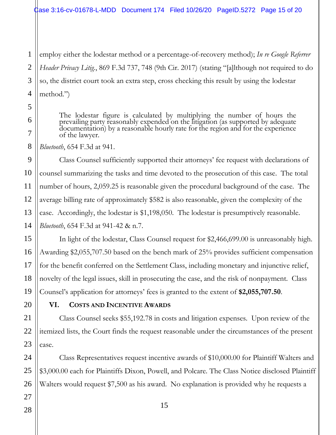1 2 3 4 employ either the lodestar method or a percentage-of-recovery method); *In re Google Referrer Header Privacy Litig.*, 869 F.3d 737, 748 (9th Cir. 2017) (stating "[a]lthough not required to do so, the district court took an extra step, cross checking this result by using the lodestar method.")

The lodestar figure is calculated by multiplying the number of hours the prevailing party reasonably expended on the litigation (as supported by adequate documentation) by a reasonable hourly rate for the region and for the experience of the lawyer.

*Bluetooth*, 654 F.3d at 941.

Class Counsel sufficiently supported their attorneys' fee request with declarations of counsel summarizing the tasks and time devoted to the prosecution of this case. The total number of hours, 2,059.25 is reasonable given the procedural background of the case. The average billing rate of approximately \$582 is also reasonable, given the complexity of the case. Accordingly, the lodestar is \$1,198,050. The lodestar is presumptively reasonable. *Bluetooth*, 654 F.3d at 941-42 & n.7.

In light of the lodestar, Class Counsel request for \$2,466,699.00 is unreasonably high. Awarding \$2,055,707.50 based on the bench mark of 25% provides sufficient compensation for the benefit conferred on the Settlement Class, including monetary and injunctive relief, novelty of the legal issues, skill in prosecuting the case, and the risk of nonpayment. Class Counsel's application for attorneys' fees is granted to the extent of **\$2,055,707.50**.

**VI. COSTS AND INCENTIVE AWARDS** 

Class Counsel seeks \$55,192.78 in costs and litigation expenses. Upon review of the itemized lists, the Court finds the request reasonable under the circumstances of the present case.

Class Representatives request incentive awards of \$10,000.00 for Plaintiff Walters and \$3,000.00 each for Plaintiffs Dixon, Powell, and Polcare. The Class Notice disclosed Plaintiff Walters would request \$7,500 as his award. No explanation is provided why he requests a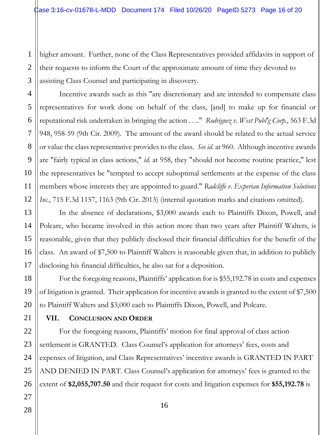1 2 higher amount. Further, none of the Class Representatives provided affidavits in support of their requests to inform the Court of the approximate amount of time they devoted to assisting Class Counsel and participating in discovery.

Incentive awards such as this "are discretionary and are intended to compensate class representatives for work done on behalf of the class, [and] to make up for financial or reputational risk undertaken in bringing the action . . .." *Rodriguez v. West Publ'g Corp.*, 563 F.3d 948, 958-59 (9th Cir. 2009). The amount of the award should be related to the actual service or value the class representative provides to the class. *See id*. at 960. Although incentive awards are "fairly typical in class actions," *id.* at 958, they "should not become routine practice," lest the representatives be "tempted to accept suboptimal settlements at the expense of the class members whose interests they are appointed to guard." *Radcliffe v. Experian Information Solutions Inc.*, 715 F.3d 1157, 1163 (9th Cir. 2013) (internal quotation marks and citations omitted).

In the absence of declarations, \$3,000 awards each to Plaintiffs Dixon, Powell, and Polcare, who became involved in this action more than two years after Plaintiff Walters, is reasonable, given that they publicly disclosed their financial difficulties for the benefit of the class. An award of \$7,500 to Plaintiff Walters is reasonable given that, in addition to publicly disclosing his financial difficulties, he also sat for a deposition.

For the foregoing reasons, Plaintiffs' application for is \$55,192.78 in costs and expenses of litigation is granted. Their application for incentive awards is granted to the extent of \$7,500 to Plaintiff Walters and \$3,000 each to Plaintiffs Dixon, Powell, and Polcare.

#### **VII. CONCLUSION AND ORDER**

For the foregoing reasons, Plaintiffs' motion for final approval of class action settlement is GRANTED. Class Counsel's application for attorneys' fees, costs and expenses of litigation, and Class Representatives' incentive awards is GRANTED IN PART AND DENIED IN PART. Class Counsel's application for attorneys' fees is granted to the extent of **\$2,055,707.50** and their request for costs and litigation expenses for **\$55,192.78** is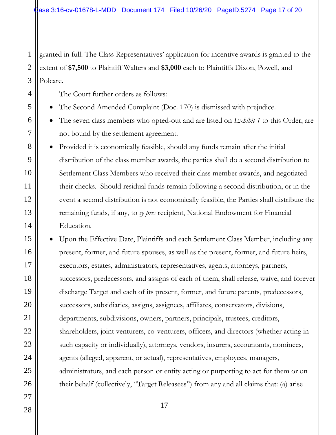2 3 granted in full. The Class Representatives' application for incentive awards is granted to the extent of **\$7,500** to Plaintiff Walters and **\$3,000** each to Plaintiffs Dixon, Powell, and Polcare.

The Court further orders as follows:

- The Second Amended Complaint (Doc. 170) is dismissed with prejudice.
- The seven class members who opted-out and are listed on *Exhibit 1* to this Order, are not bound by the settlement agreement.
- Provided it is economically feasible, should any funds remain after the initial distribution of the class member awards, the parties shall do a second distribution to Settlement Class Members who received their class member awards, and negotiated their checks. Should residual funds remain following a second distribution, or in the event a second distribution is not economically feasible, the Parties shall distribute the remaining funds, if any, to *cy pres* recipient, National Endowment for Financial Education.
- Upon the Effective Date, Plaintiffs and each Settlement Class Member, including any present, former, and future spouses, as well as the present, former, and future heirs, executors, estates, administrators, representatives, agents, attorneys, partners, successors, predecessors, and assigns of each of them, shall release, waive, and forever discharge Target and each of its present, former, and future parents, predecessors, successors, subsidiaries, assigns, assignees, affiliates, conservators, divisions, departments, subdivisions, owners, partners, principals, trustees, creditors, shareholders, joint venturers, co-venturers, officers, and directors (whether acting in such capacity or individually), attorneys, vendors, insurers, accountants, nominees, agents (alleged, apparent, or actual), representatives, employees, managers, administrators, and each person or entity acting or purporting to act for them or on their behalf (collectively, "Target Releasees") from any and all claims that: (a) arise

1

4

5

6

7

8

9

10

11

12

13

14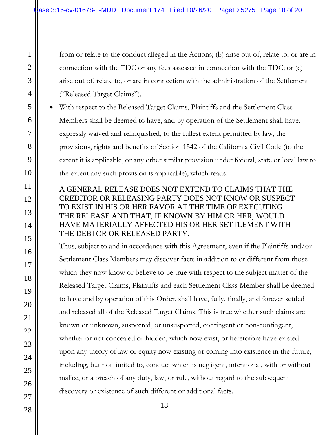from or relate to the conduct alleged in the Actions; (b) arise out of, relate to, or are in connection with the TDC or any fees assessed in connection with the TDC; or (c) arise out of, relate to, or are in connection with the administration of the Settlement ("Released Target Claims").

• With respect to the Released Target Claims, Plaintiffs and the Settlement Class Members shall be deemed to have, and by operation of the Settlement shall have, expressly waived and relinquished, to the fullest extent permitted by law, the provisions, rights and benefits of Section 1542 of the California Civil Code (to the extent it is applicable, or any other similar provision under federal, state or local law to the extent any such provision is applicable), which reads:

# A GENERAL RELEASE DOES NOT EXTEND TO CLAIMS THAT THE CREDITOR OR RELEASING PARTY DOES NOT KNOW OR SUSPECT TO EXIST IN HIS OR HER FAVOR AT THE TIME OF EXECUTING THE RELEASE AND THAT, IF KNOWN BY HIM OR HER, WOULD HAVE MATERIALLY AFFECTED HIS OR HER SETTLEMENT WITH THE DEBTOR OR RELEASED PARTY.

Thus, subject to and in accordance with this Agreement, even if the Plaintiffs and/or Settlement Class Members may discover facts in addition to or different from those which they now know or believe to be true with respect to the subject matter of the Released Target Claims, Plaintiffs and each Settlement Class Member shall be deemed to have and by operation of this Order, shall have, fully, finally, and forever settled and released all of the Released Target Claims. This is true whether such claims are known or unknown, suspected, or unsuspected, contingent or non-contingent, whether or not concealed or hidden, which now exist, or heretofore have existed upon any theory of law or equity now existing or coming into existence in the future, including, but not limited to, conduct which is negligent, intentional, with or without malice, or a breach of any duty, law, or rule, without regard to the subsequent discovery or existence of such different or additional facts.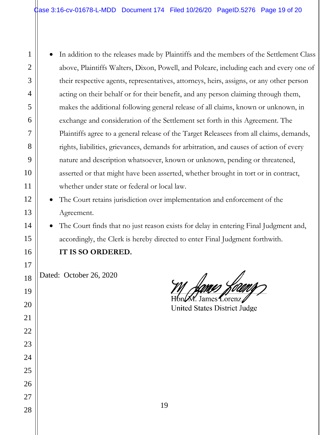• In addition to the releases made by Plaintiffs and the members of the Settlement Class above, Plaintiffs Walters, Dixon, Powell, and Polcare, including each and every one of their respective agents, representatives, attorneys, heirs, assigns, or any other person acting on their behalf or for their benefit, and any person claiming through them, makes the additional following general release of all claims, known or unknown, in exchange and consideration of the Settlement set forth in this Agreement. The Plaintiffs agree to a general release of the Target Releasees from all claims, demands, rights, liabilities, grievances, demands for arbitration, and causes of action of every nature and description whatsoever, known or unknown, pending or threatened, asserted or that might have been asserted, whether brought in tort or in contract, whether under state or federal or local law.

The Court retains jurisdiction over implementation and enforcement of the Agreement.

The Court finds that no just reason exists for delay in entering Final Judgment and, accordingly, the Clerk is hereby directed to enter Final Judgment forthwith.

# **IT IS SO ORDERED.**

Dated: October 26, 2020

1

2

3

4

5

6

7

8

9

10

11

12

13

14

15

16

17

18

19

20

21

22

23

24

25

26

27

Y. James Lorenz

United States District Judge